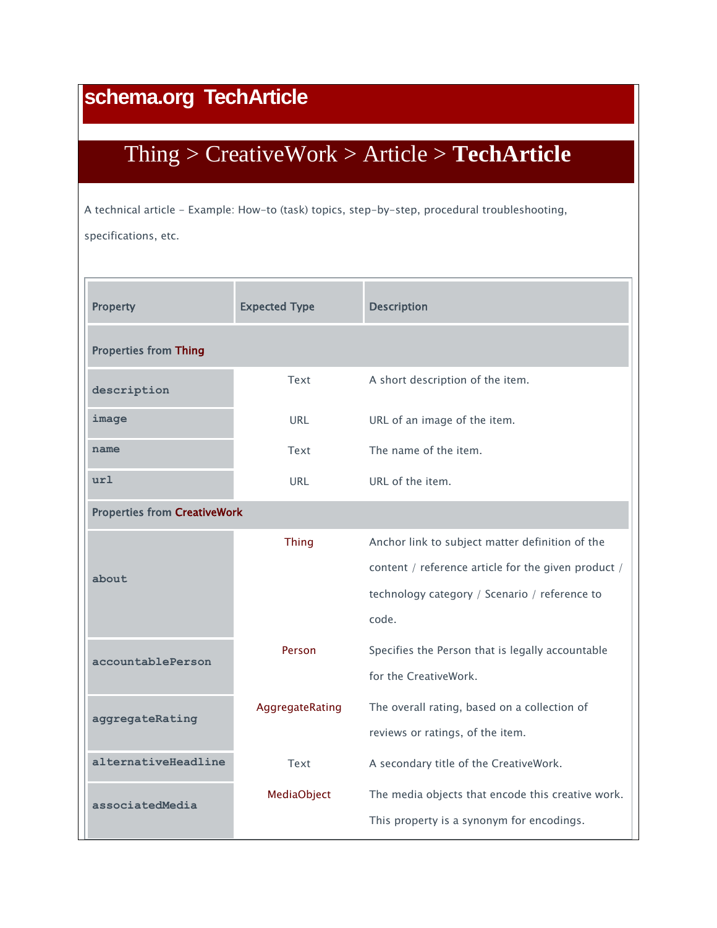## **schema.org TechArticle**

## [Thing](http://www.schema.org/Thing) > [CreativeWork](http://www.schema.org/CreativeWork) > [Article](http://www.schema.org/Article) > **TechArticle**

A technical article - Example: How-to (task) topics, step-by-step, procedural troubleshooting, specifications, etc.

| <b>Property</b>                     | <b>Expected Type</b> | <b>Description</b>                                  |  |  |
|-------------------------------------|----------------------|-----------------------------------------------------|--|--|
| <b>Properties from Thing</b>        |                      |                                                     |  |  |
| description                         | Text                 | A short description of the item.                    |  |  |
| image                               | URL                  | URL of an image of the item.                        |  |  |
| name                                | Text                 | The name of the item.                               |  |  |
| ur1                                 | URL                  | URL of the item.                                    |  |  |
| <b>Properties from CreativeWork</b> |                      |                                                     |  |  |
| about                               | <b>Thing</b>         | Anchor link to subject matter definition of the     |  |  |
|                                     |                      | content / reference article for the given product / |  |  |
|                                     |                      | technology category / Scenario / reference to       |  |  |
|                                     |                      | code.                                               |  |  |
| accountablePerson                   | Person               | Specifies the Person that is legally accountable    |  |  |
|                                     |                      | for the CreativeWork.                               |  |  |
| aggregateRating                     | AggregateRating      | The overall rating, based on a collection of        |  |  |
|                                     |                      | reviews or ratings, of the item.                    |  |  |
| alternativeHeadline                 | Text                 | A secondary title of the CreativeWork.              |  |  |
| associatedMedia                     | MediaObject          | The media objects that encode this creative work.   |  |  |
|                                     |                      | This property is a synonym for encodings.           |  |  |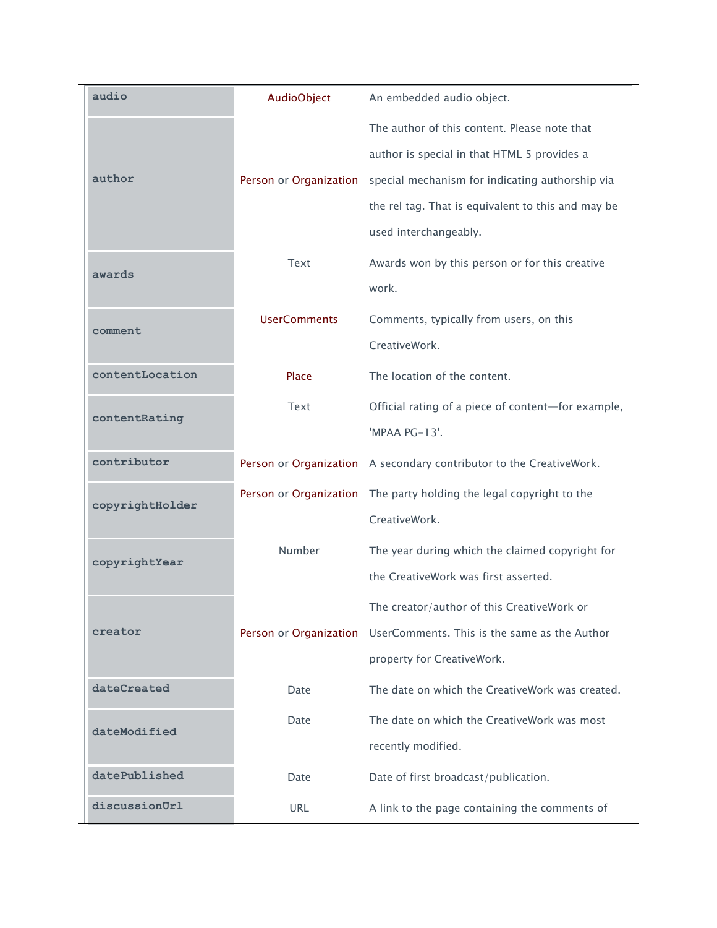| audio           | AudioObject            | An embedded audio object.                                           |
|-----------------|------------------------|---------------------------------------------------------------------|
|                 |                        | The author of this content. Please note that                        |
|                 |                        | author is special in that HTML 5 provides a                         |
| author          | Person or Organization | special mechanism for indicating authorship via                     |
|                 |                        | the rel tag. That is equivalent to this and may be                  |
|                 |                        | used interchangeably.                                               |
| awards          | Text                   | Awards won by this person or for this creative                      |
|                 |                        | work.                                                               |
|                 | <b>UserComments</b>    | Comments, typically from users, on this                             |
| comment         |                        | CreativeWork.                                                       |
| contentLocation | Place                  | The location of the content.                                        |
|                 | Text                   | Official rating of a piece of content-for example,                  |
| contentRating   |                        | 'MPAA PG-13'.                                                       |
| contributor     |                        | Person or Organization A secondary contributor to the CreativeWork. |
| copyrightHolder |                        | Person or Organization The party holding the legal copyright to the |
|                 |                        | CreativeWork.                                                       |
|                 | Number                 | The year during which the claimed copyright for                     |
| copyrightYear   |                        | the CreativeWork was first asserted.                                |
|                 |                        | The creator/author of this CreativeWork or                          |
| creator         | Person or Organization | UserComments. This is the same as the Author                        |
|                 |                        | property for CreativeWork.                                          |
| dateCreated     | Date                   | The date on which the CreativeWork was created.                     |
| dateModified    | Date                   | The date on which the CreativeWork was most                         |
|                 |                        | recently modified.                                                  |
| datePublished   | Date                   | Date of first broadcast/publication.                                |
| discussionUrl   | <b>URL</b>             | A link to the page containing the comments of                       |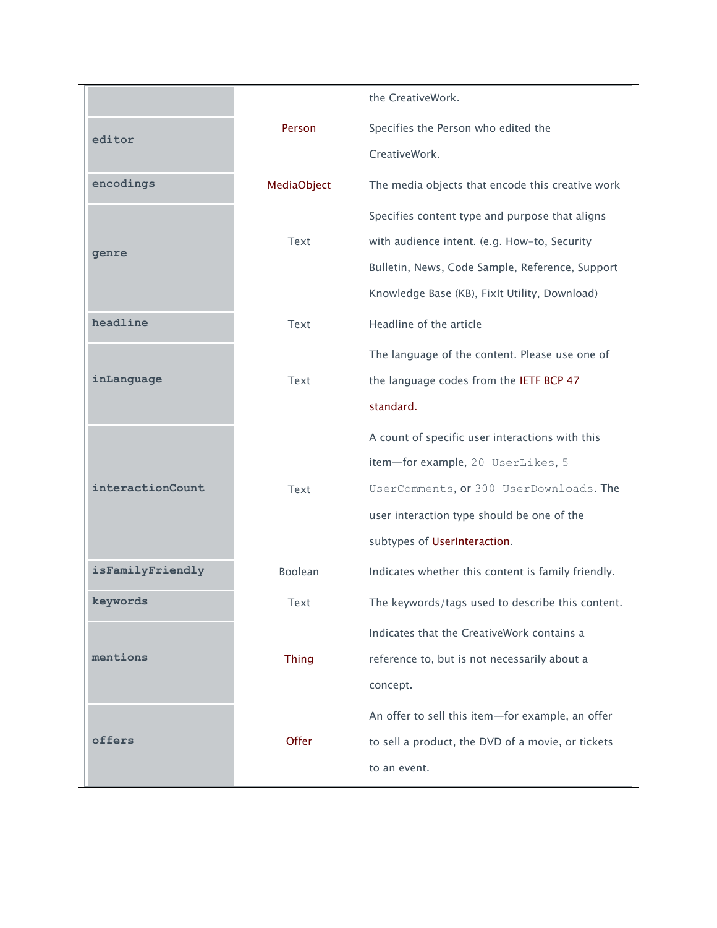|                  |              | the CreativeWork.                                  |
|------------------|--------------|----------------------------------------------------|
| editor           | Person       | Specifies the Person who edited the                |
|                  |              | CreativeWork.                                      |
| encodings        | MediaObject  | The media objects that encode this creative work   |
|                  |              | Specifies content type and purpose that aligns     |
| genre            | Text         | with audience intent. (e.g. How-to, Security       |
|                  |              | Bulletin, News, Code Sample, Reference, Support    |
|                  |              | Knowledge Base (KB), FixIt Utility, Download)      |
| headline         | Text         | Headline of the article                            |
|                  |              | The language of the content. Please use one of     |
| inLanguage       | Text         | the language codes from the IETF BCP 47            |
|                  |              | standard.                                          |
|                  |              | A count of specific user interactions with this    |
|                  |              | item-for example, 20 UserLikes, 5                  |
| interactionCount | Text         | UserComments, or 300 UserDownloads. The            |
|                  |              | user interaction type should be one of the         |
|                  |              | subtypes of UserInteraction.                       |
| isFamilyFriendly | Boolean      | Indicates whether this content is family friendly. |
| keywords         | Text         | The keywords/tags used to describe this content.   |
|                  |              | Indicates that the CreativeWork contains a         |
| mentions         | <b>Thing</b> | reference to, but is not necessarily about a       |
|                  |              | concept.                                           |
|                  |              | An offer to sell this item-for example, an offer   |
| offers           | Offer        | to sell a product, the DVD of a movie, or tickets  |
|                  |              | to an event.                                       |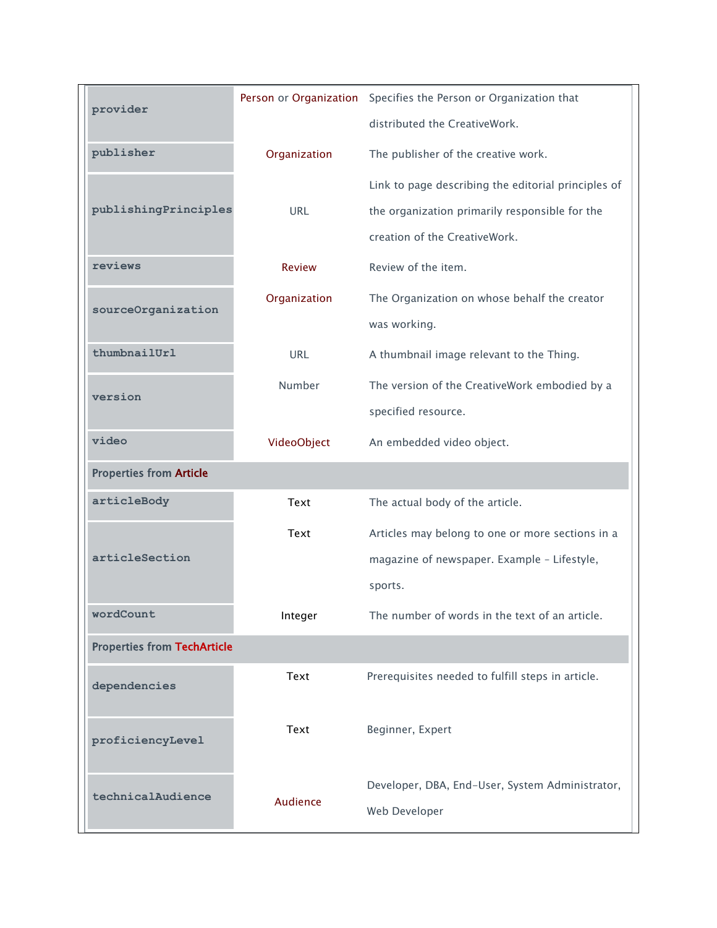| provider                           |               | Person or Organization Specifies the Person or Organization that |  |  |
|------------------------------------|---------------|------------------------------------------------------------------|--|--|
|                                    |               | distributed the CreativeWork.                                    |  |  |
| publisher                          | Organization  | The publisher of the creative work.                              |  |  |
|                                    |               | Link to page describing the editorial principles of              |  |  |
| publishingPrinciples               | <b>URL</b>    | the organization primarily responsible for the                   |  |  |
|                                    |               | creation of the CreativeWork.                                    |  |  |
| reviews                            | <b>Review</b> | Review of the item.                                              |  |  |
| sourceOrganization                 | Organization  | The Organization on whose behalf the creator                     |  |  |
|                                    |               | was working.                                                     |  |  |
| thumbnailUrl                       | <b>URL</b>    | A thumbnail image relevant to the Thing.                         |  |  |
| version                            | Number        | The version of the CreativeWork embodied by a                    |  |  |
|                                    |               | specified resource.                                              |  |  |
| video                              | VideoObject   | An embedded video object.                                        |  |  |
| <b>Properties from Article</b>     |               |                                                                  |  |  |
| articleBody                        | Text          | The actual body of the article.                                  |  |  |
|                                    | Text          | Articles may belong to one or more sections in a                 |  |  |
| articleSection                     |               | magazine of newspaper. Example - Lifestyle,                      |  |  |
|                                    |               | sports.                                                          |  |  |
| wordCount                          | Integer       | The number of words in the text of an article.                   |  |  |
| <b>Properties from TechArticle</b> |               |                                                                  |  |  |
| dependencies                       | Text          | Prerequisites needed to fulfill steps in article.                |  |  |
|                                    |               |                                                                  |  |  |
| proficiencyLevel                   | Text          | Beginner, Expert                                                 |  |  |
|                                    |               |                                                                  |  |  |
| technicalAudience                  | Audience      | Developer, DBA, End-User, System Administrator,                  |  |  |
|                                    |               | Web Developer                                                    |  |  |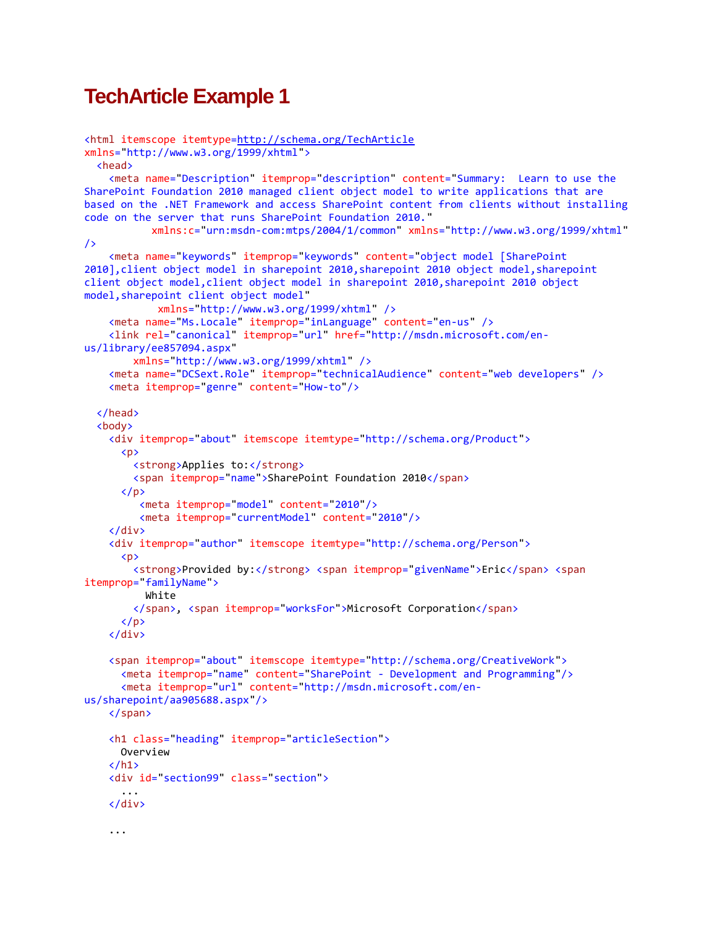## **TechArticle Example 1**

```
<html itemscope itemtype=http://schema.org/TechArticle
xmlns="http://www.w3.org/1999/xhtml">
   <head>
     <meta name="Description" itemprop="description" content="Summary: Learn to use the 
SharePoint Foundation 2010 managed client object model to write applications that are 
based on the .NET Framework and access SharePoint content from clients without installing 
code on the server that runs SharePoint Foundation 2010."
            xmlns:c="urn:msdn-com:mtps/2004/1/common" xmlns="http://www.w3.org/1999/xhtml"
/>
     <meta name="keywords" itemprop="keywords" content="object model [SharePoint 
2010],client object model in sharepoint 2010,sharepoint 2010 object model,sharepoint 
client object model, client object model in sharepoint 2010, sharepoint 2010 object
model, sharepoint client object model"
             xmlns="http://www.w3.org/1999/xhtml" />
     <meta name="Ms.Locale" itemprop="inLanguage" content="en-us" />
     <link rel="canonical" itemprop="url" href="http://msdn.microsoft.com/en-
us/library/ee857094.aspx"
         xmlns="http://www.w3.org/1999/xhtml" />
     <meta name="DCSext.Role" itemprop="technicalAudience" content="web developers" />
     <meta itemprop="genre" content="How-to"/>
   </head>
   <body>
     <div itemprop="about" itemscope itemtype="http://schema.org/Product">
      \langle D \rangle <strong>Applies to:</strong>
         <span itemprop="name">SharePoint Foundation 2010</span>
      \langle/p\rangle <meta itemprop="model" content="2010"/>
          <meta itemprop="currentModel" content="2010"/>
     </div>
     <div itemprop="author" itemscope itemtype="http://schema.org/Person">
      \langle D \rangle<strong>Provided by:</strong> <span itemprop="givenName">Eric</span> <span
itemprop="familyName">
           White
         </span>, <span itemprop="worksFor">Microsoft Corporation</span>
      \langle/p>
     </div>
     <span itemprop="about" itemscope itemtype="http://schema.org/CreativeWork">
       <meta itemprop="name" content="SharePoint - Development and Programming"/>
       <meta itemprop="url" content="http://msdn.microsoft.com/en-
us/sharepoint/aa905688.aspx"/>
     </span>
     <h1 class="heading" itemprop="articleSection">
       Overview
    \langle/h1>
     <div id="section99" class="section">
 ...
     </div>
     ...
```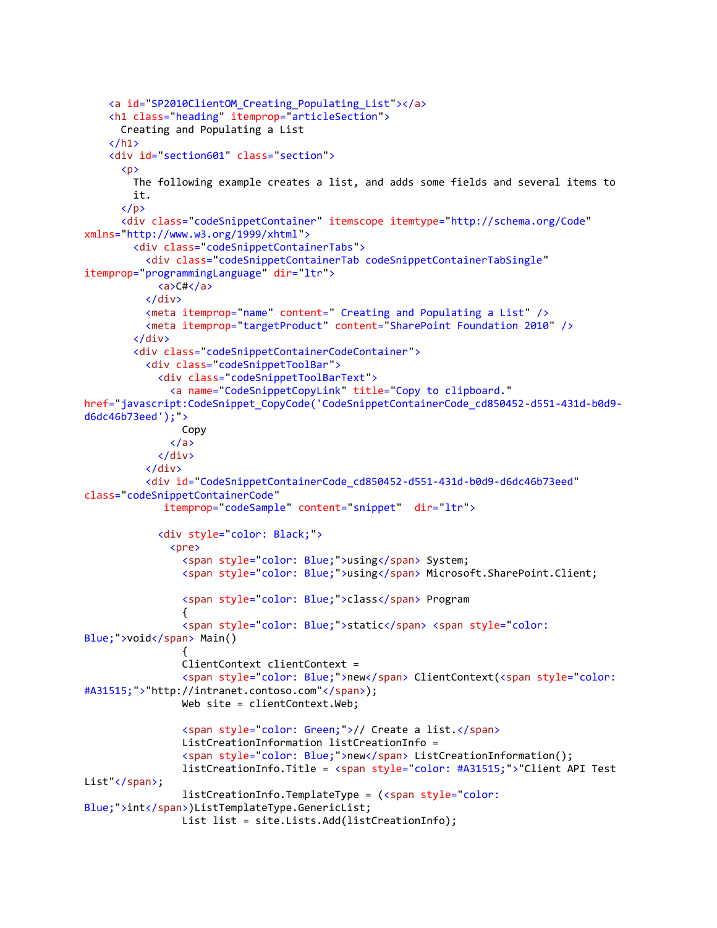```
 <a id="SP2010ClientOM_Creating_Populating_List"></a>
     <h1 class="heading" itemprop="articleSection">
        Creating and Populating a List
    \langle/h1>
     <div id="section601" class="section">
        <p>
          The following example creates a list, and adds some fields and several items to
          it.
       \langle/p>
        <div class="codeSnippetContainer" itemscope itemtype="http://schema.org/Code"
xmlns="http://www.w3.org/1999/xhtml">
          <div class="codeSnippetContainerTabs">
            <div class="codeSnippetContainerTab codeSnippetContainerTabSingle"
itemprop="programmingLanguage" dir="ltr">
               <a>C#</a>
            </div>
           \zeta meta itemprop="name" content=" Creating and Populating a List" \zeta <meta itemprop="targetProduct" content="SharePoint Foundation 2010" />
          </div>
          <div class="codeSnippetContainerCodeContainer">
            <div class="codeSnippetToolBar">
               <div class="codeSnippetToolBarText">
                 <a name="CodeSnippetCopyLink" title="Copy to clipboard."
href="javascript:CodeSnippet_CopyCode('CodeSnippetContainerCode_cd850452-d551-431d-b0d9-
d6dc46b73eed');">
                   Copy
                \langlea>
               </div>
            </div>
            <div id="CodeSnippetContainerCode_cd850452-d551-431d-b0d9-d6dc46b73eed"
class="codeSnippetContainerCode"
                itemprop="codeSample" content="snippet" dir="ltr">
               <div style="color: Black;">
                 <pre>
                   <span style="color: Blue;">using</span> System;
                  <span style="color: Blue;">using</span> Microsoft.SharePoint.Client;
                   <span style="color: Blue;">class</span> Program
\{ <span style="color: Blue;">static</span> <span style="color: 
Blue;">void</span> Main()
\overline{a} ( \overline{a} ) and \overline{a} ( \overline{a} ) and \overline{a} ( \overline{a} ) and \overline{a} ( \overline{a} ) and \overline{a} ( \overline{a} ) and \overline{a} ( \overline{a} ) and \overline{a} ( \overline{a} ) and \overline{a} ( \overline{a} ) and \overline{a} ( \ ClientContext clientContext =
                   <span style="color: Blue;">new</span> ClientContext(<span style="color: 
#A31515;">"http://intranet.contoso.com"</span>);
                  Web site = clientContext.Web;
                   <span style="color: Green;">// Create a list.</span>
                   ListCreationInformation listCreationInfo =
                   <span style="color: Blue;">new</span> ListCreationInformation();
                   listCreationInfo.Title = <span style="color: #A31515;">"Client API Test 
List"</span>;
                   listCreationInfo.TemplateType = (<span style="color: 
Blue;">int</span>)ListTemplateType.GenericList;
                   List list = site.Lists.Add(listCreationInfo);
```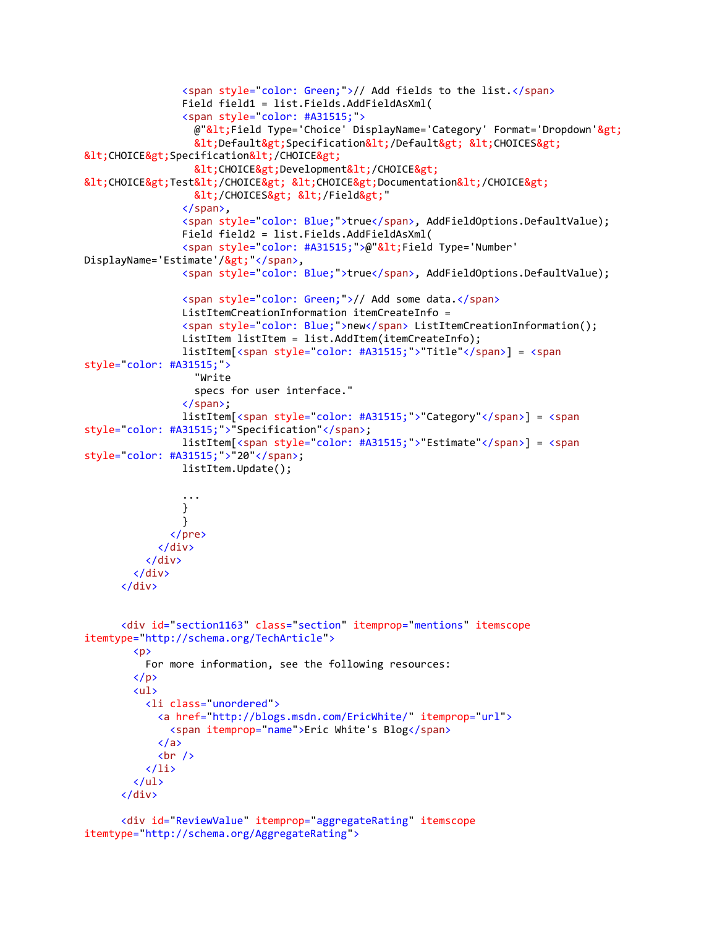```
 <span style="color: Green;">// Add fields to the list.</span>
                 Field field1 = list.Fields.AddFieldAsXml(
                 <span style="color: #A31515;">
                  @"<Field Type='Choice' DisplayName='Category' Format='Dropdown'&gt;
                  <Default&gt;Specification&lt;/Default&gt; &lt;CHOICES&gt;
< CHOICE&gt; Specification&lt; / CHOICE&gt;
                  <CHOICE&gt;Development&lt;/CHOICE&gt;
81t; CHOICE8gt; Test81t; /CHOICE8gt; 81t; CHOICE8gt; Documentation81t; /CHOICE8gt;
                  </CHOICES&gt; &lt;/Field&gt;"
                 </span>,
                 <span style="color: Blue;">true</span>, AddFieldOptions.DefaultValue);
                 Field field2 = list.Fields.AddFieldAsXml(
                <span style="color: #A31515;">@"&lt;Field Type='Number'
DisplayName='Estimate'/>"</span>,
                 <span style="color: Blue;">true</span>, AddFieldOptions.DefaultValue);
                 <span style="color: Green;">// Add some data.</span>
                 ListItemCreationInformation itemCreateInfo =
                 <span style="color: Blue;">new</span> ListItemCreationInformation();
                 ListItem listItem = list.AddItem(itemCreateInfo);
                 listItem[<span style="color: #A31515;">"Title"</span>] = <span
style="color: #A31515;">
                   "Write
                   specs for user interface."
                 </span>;
                 listItem[<span style="color: #A31515;">"Category"</span>] = <span
style="color: #A31515;">"Specification"</span>;
                 listItem[<span style="color: #A31515;">"Estimate"</span>] = <span
style="color: #A31515;">"20"</span>;
                 listItem.Update();
 ...
 }
 }
               </pre>
             </div>
           </div>
         </div>
       </div>
       <div id="section1163" class="section" itemprop="mentions" itemscope
itemtype="http://schema.org/TechArticle">
         <p>
           For more information, see the following resources:
        \langle/p>
         <ul>
           <li class="unordered">
             <a href="http://blogs.msdn.com/EricWhite/" itemprop="url">
               <span itemprop="name">Eric White's Blog</span>
            \langlea>
            \text{br} />
          \langle/li>
        \langle \text{u1} \rangle </div>
       <div id="ReviewValue" itemprop="aggregateRating" itemscope
```

```
itemtype="http://schema.org/AggregateRating">
```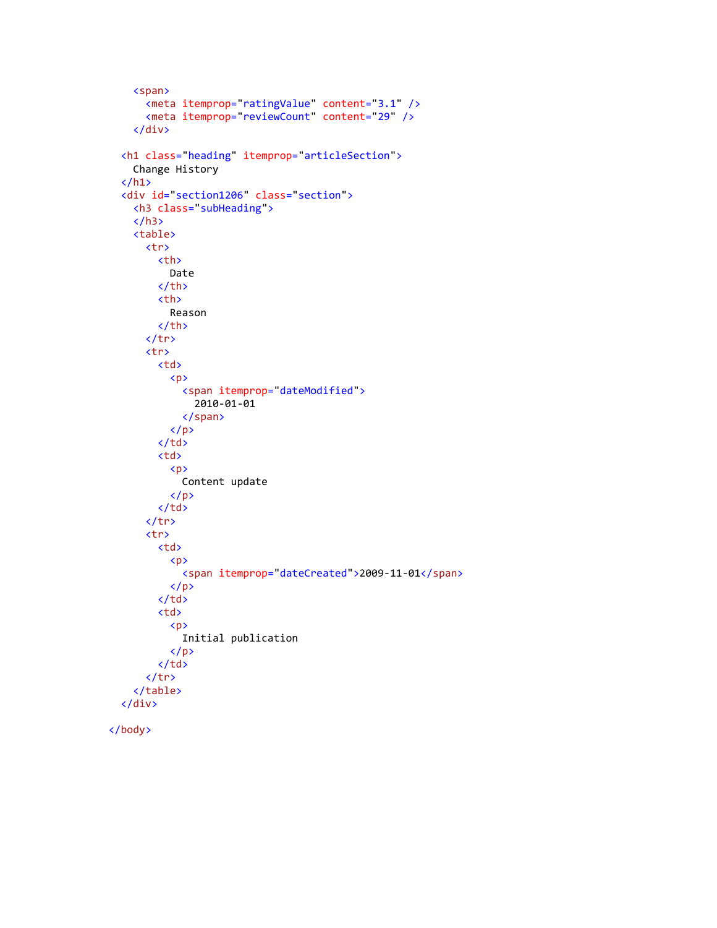```
 <span>
 <meta itemprop="ratingValue" content="3.1" />
 <meta itemprop="reviewCount" content="29" />
          </div>
        <h1 class="heading" itemprop="articleSection">
          Change History
       \langle/h1>
        <div id="section1206" class="section">
          <h3 class="subHeading">
         \langle/h3>
          <table>
             <tr>
               <th>
                 Date
              \langle/th>
               <th>
                  Reason
              \langle/th>
            \langle/tr>
             <tr>
               <td>
                 \langle p \rangle <span itemprop="dateModified">
                      2010-01-01
                    </span>
                 \langle/p>
              \langle/td>
               <td>
                  <p>
                    Content update
                \langle/p>
              \langle/td>
            \langle/tr>
             <tr>
               <td>
                  <p>
                    <span itemprop="dateCreated">2009-11-01</span>
                 \langle/p>
              \langle/td>
               <td>
                  <p>
                    Initial publication
                 \langle/p>
              \langle/td>
            \langle/tr>
          </table>
       </div>
```

```
 </body>
```